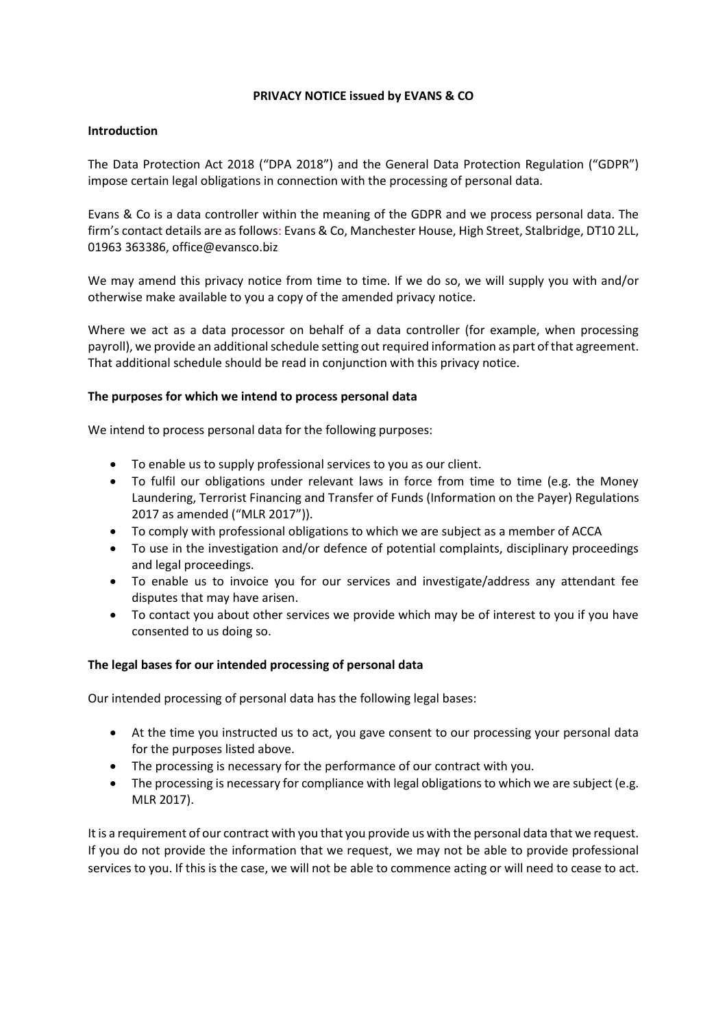### **PRIVACY NOTICE issued by EVANS & CO**

# **Introduction**

The Data Protection Act 2018 ("DPA 2018") and the General Data Protection Regulation ("GDPR") impose certain legal obligations in connection with the processing of personal data*.*

Evans & Co is a data controller within the meaning of the GDPR and we process personal data. The firm's contact details are as follows: Evans & Co, Manchester House, High Street, Stalbridge, DT10 2LL, 01963 363386, office@evansco.biz

We may amend this privacy notice from time to time. If we do so, we will supply you with and/or otherwise make available to you a copy of the amended privacy notice.

Where we act as a data processor on behalf of a data controller (for example, when processing payroll), we provide an additional schedule setting out required information as part of that agreement. That additional schedule should be read in conjunction with this privacy notice.

# **The purposes for which we intend to process personal data**

We intend to process personal data for the following purposes:

- To enable us to supply professional services to you as our client.
- To fulfil our obligations under relevant laws in force from time to time (e.g. the Money Laundering, Terrorist Financing and Transfer of Funds (Information on the Payer) Regulations 2017 as amended ("MLR 2017")).
- To comply with professional obligations to which we are subject as a member of ACCA
- To use in the investigation and/or defence of potential complaints, disciplinary proceedings and legal proceedings.
- To enable us to invoice you for our services and investigate/address any attendant fee disputes that may have arisen.
- To contact you about other services we provide which may be of interest to you if you have consented to us doing so.

### **The legal bases for our intended processing of personal data**

Our intended processing of personal data has the following legal bases:

- At the time you instructed us to act, you gave consent to our processing your personal data for the purposes listed above.
- The processing is necessary for the performance of our contract with you.
- The processing is necessary for compliance with legal obligations to which we are subject (e.g. MLR 2017).

It is a requirement of our contract with you that you provide us with the personal data that we request. If you do not provide the information that we request, we may not be able to provide professional services to you. If this is the case, we will not be able to commence acting or will need to cease to act.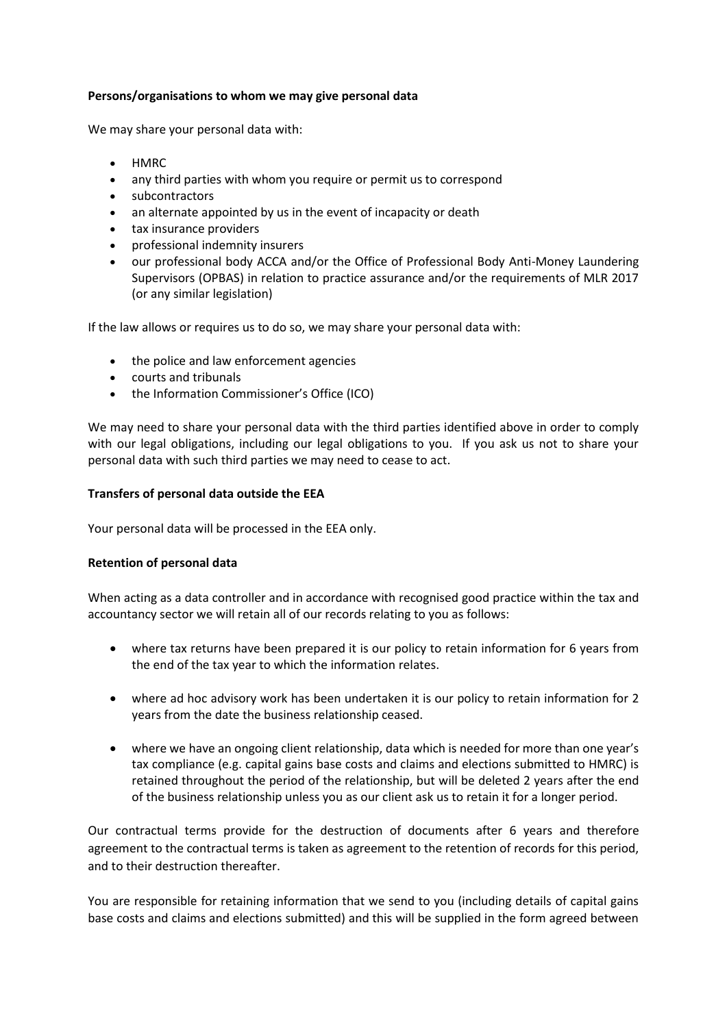### **Persons/organisations to whom we may give personal data**

We may share your personal data with:

- HMRC
- any third parties with whom you require or permit us to correspond
- subcontractors
- an alternate appointed by us in the event of incapacity or death
- tax insurance providers
- professional indemnity insurers
- our professional body ACCA and/or the Office of Professional Body Anti-Money Laundering Supervisors (OPBAS) in relation to practice assurance and/or the requirements of MLR 2017 (or any similar legislation)

If the law allows or requires us to do so, we may share your personal data with:

- the police and law enforcement agencies
- courts and tribunals
- the Information Commissioner's Office (ICO)

We may need to share your personal data with the third parties identified above in order to comply with our legal obligations, including our legal obligations to you. If you ask us not to share your personal data with such third parties we may need to cease to act.

### **Transfers of personal data outside the EEA**

Your personal data will be processed in the EEA only.

### **Retention of personal data**

When acting as a data controller and in accordance with recognised good practice within the tax and accountancy sector we will retain all of our records relating to you as follows:

- where tax returns have been prepared it is our policy to retain information for 6 years from the end of the tax year to which the information relates.
- where ad hoc advisory work has been undertaken it is our policy to retain information for 2 years from the date the business relationship ceased.
- where we have an ongoing client relationship, data which is needed for more than one year's tax compliance (e.g. capital gains base costs and claims and elections submitted to HMRC) is retained throughout the period of the relationship, but will be deleted 2 years after the end of the business relationship unless you as our client ask us to retain it for a longer period.

Our contractual terms provide for the destruction of documents after 6 years and therefore agreement to the contractual terms is taken as agreement to the retention of records for this period, and to their destruction thereafter.

You are responsible for retaining information that we send to you (including details of capital gains base costs and claims and elections submitted) and this will be supplied in the form agreed between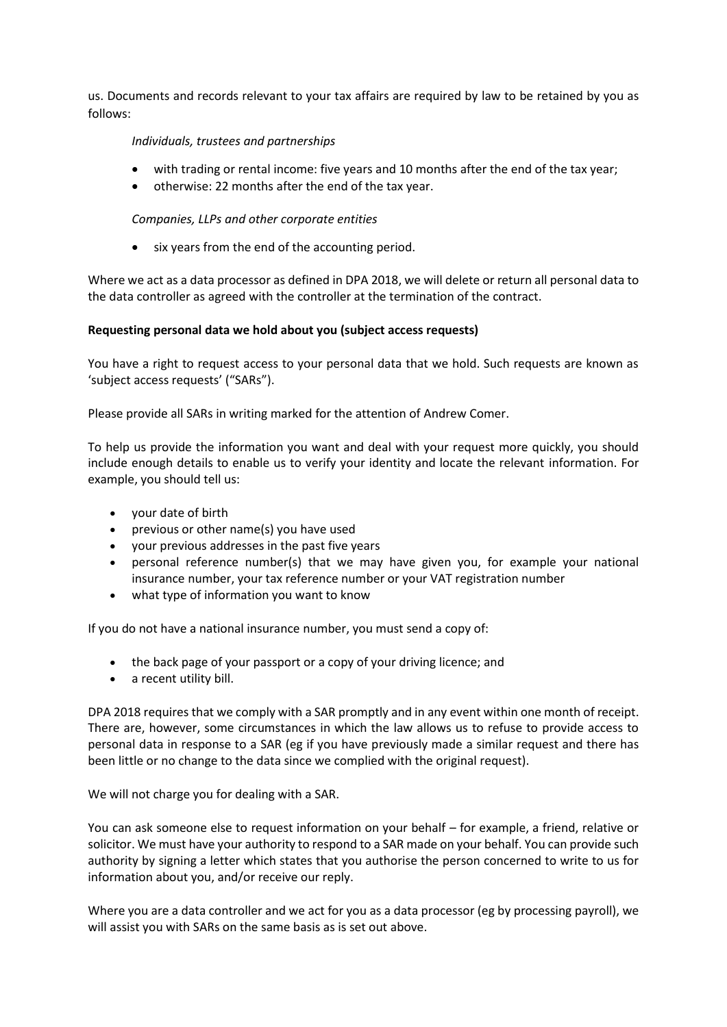us. Documents and records relevant to your tax affairs are required by law to be retained by you as follows:

### *Individuals, trustees and partnerships*

- with trading or rental income: five years and 10 months after the end of the tax year;
- otherwise: 22 months after the end of the tax year.

### *Companies, LLPs and other corporate entities*

• six years from the end of the accounting period.

Where we act as a data processor as defined in DPA 2018, we will delete or return all personal data to the data controller as agreed with the controller at the termination of the contract.

### **Requesting personal data we hold about you (subject access requests)**

You have a right to request access to your personal data that we hold. Such requests are known as 'subject access requests' ("SARs").

Please provide all SARs in writing marked for the attention of Andrew Comer.

To help us provide the information you want and deal with your request more quickly, you should include enough details to enable us to verify your identity and locate the relevant information. For example, you should tell us:

- your date of birth
- previous or other name(s) you have used
- your previous addresses in the past five years
- personal reference number(s) that we may have given you, for example your national insurance number, your tax reference number or your VAT registration number
- what type of information you want to know

If you do not have a national insurance number, you must send a copy of:

- the back page of your passport or a copy of your driving licence; and
- a recent utility bill.

DPA 2018 requires that we comply with a SAR promptly and in any event within one month of receipt. There are, however, some circumstances in which the law allows us to refuse to provide access to personal data in response to a SAR (eg if you have previously made a similar request and there has been little or no change to the data since we complied with the original request).

We will not charge you for dealing with a SAR.

You can ask someone else to request information on your behalf – for example, a friend, relative or solicitor. We must have your authority to respond to a SAR made on your behalf. You can provide such authority by signing a letter which states that you authorise the person concerned to write to us for information about you, and/or receive our reply.

Where you are a data controller and we act for you as a data processor (eg by processing payroll), we will assist you with SARs on the same basis as is set out above.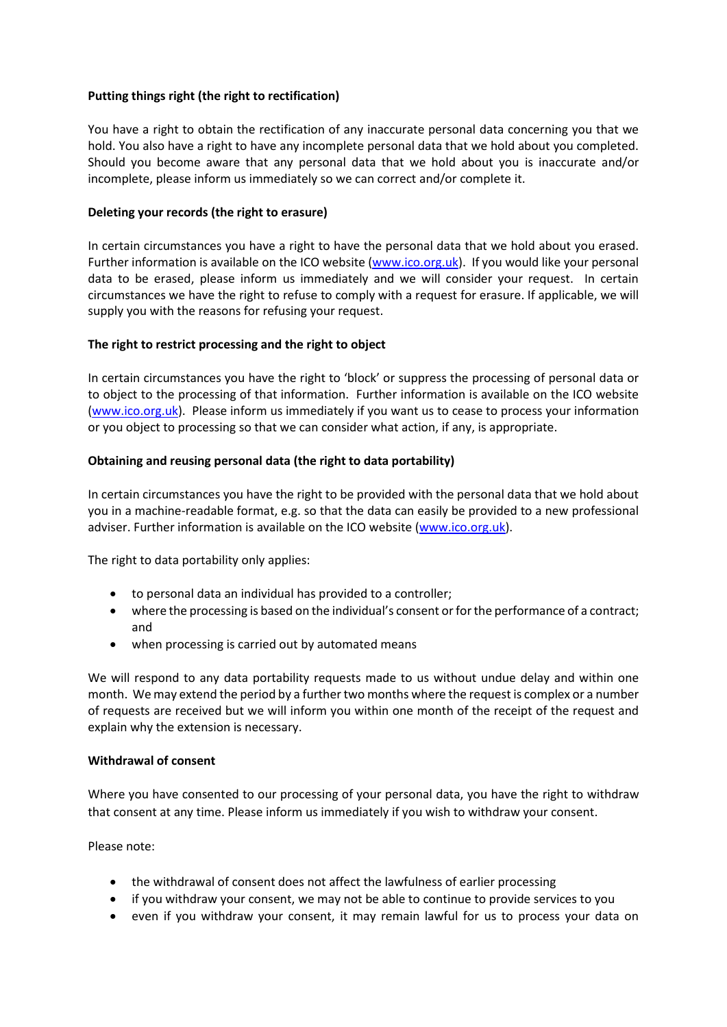# **Putting things right (the right to rectification)**

You have a right to obtain the rectification of any inaccurate personal data concerning you that we hold. You also have a right to have any incomplete personal data that we hold about you completed. Should you become aware that any personal data that we hold about you is inaccurate and/or incomplete, please inform us immediately so we can correct and/or complete it.

# **Deleting your records (the right to erasure)**

In certain circumstances you have a right to have the personal data that we hold about you erased. Further information is available on the ICO website [\(www.ico.org.uk\)](http://www.ico.org.uk/). If you would like your personal data to be erased, please inform us immediately and we will consider your request. In certain circumstances we have the right to refuse to comply with a request for erasure. If applicable, we will supply you with the reasons for refusing your request.

# **The right to restrict processing and the right to object**

In certain circumstances you have the right to 'block' or suppress the processing of personal data or to object to the processing of that information. Further information is available on the ICO website [\(www.ico.org.uk\)](http://www.ico.org.uk/). Please inform us immediately if you want us to cease to process your information or you object to processing so that we can consider what action, if any, is appropriate.

# **Obtaining and reusing personal data (the right to data portability)**

In certain circumstances you have the right to be provided with the personal data that we hold about you in a machine-readable format, e.g. so that the data can easily be provided to a new professional adviser. Further information is available on the ICO website [\(www.ico.org.uk\)](http://www.ico.org.uk/).

The right to data portability only applies:

- to personal data an individual has provided to a controller;
- where the processing is based on the individual's consent or for the performance of a contract; and
- when processing is carried out by automated means

We will respond to any data portability requests made to us without undue delay and within one month. We may extend the period by a further two months where the request is complex or a number of requests are received but we will inform you within one month of the receipt of the request and explain why the extension is necessary.

### **Withdrawal of consent**

Where you have consented to our processing of your personal data, you have the right to withdraw that consent at any time. Please inform us immediately if you wish to withdraw your consent.

Please note:

- the withdrawal of consent does not affect the lawfulness of earlier processing
- if you withdraw your consent, we may not be able to continue to provide services to you
- even if you withdraw your consent, it may remain lawful for us to process your data on